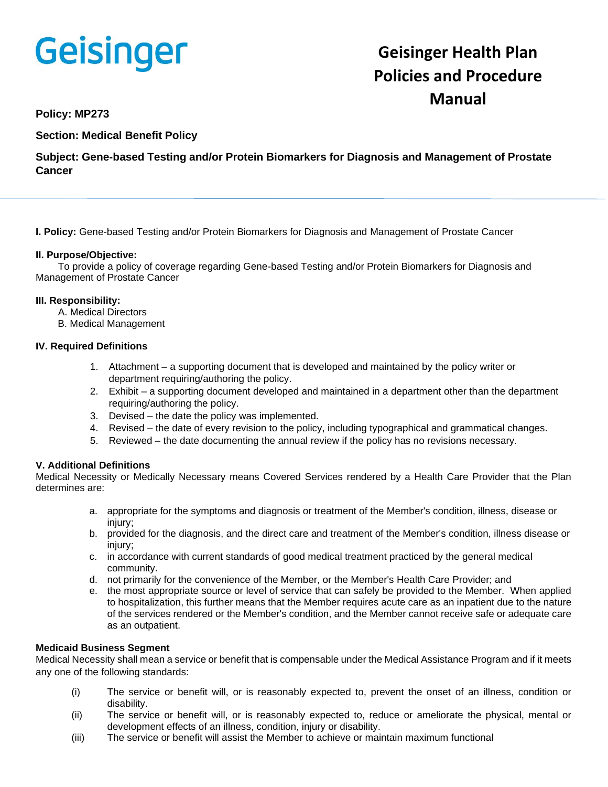# Geisinger

# **Geisinger Health Plan Policies and Procedure Manual**

# **Policy: MP273**

**Section: Medical Benefit Policy**

**Subject: Gene-based Testing and/or Protein Biomarkers for Diagnosis and Management of Prostate Cancer**

**I. Policy:** Gene-based Testing and/or Protein Biomarkers for Diagnosis and Management of Prostate Cancer

# **II. Purpose/Objective:**

To provide a policy of coverage regarding Gene-based Testing and/or Protein Biomarkers for Diagnosis and Management of Prostate Cancer

# **III. Responsibility:**

- A. Medical Directors
- B. Medical Management

#### **IV. Required Definitions**

- 1. Attachment a supporting document that is developed and maintained by the policy writer or department requiring/authoring the policy.
- 2. Exhibit a supporting document developed and maintained in a department other than the department requiring/authoring the policy.
- 3. Devised the date the policy was implemented.
- 4. Revised the date of every revision to the policy, including typographical and grammatical changes.
- 5. Reviewed the date documenting the annual review if the policy has no revisions necessary.

# **V. Additional Definitions**

Medical Necessity or Medically Necessary means Covered Services rendered by a Health Care Provider that the Plan determines are:

- a. appropriate for the symptoms and diagnosis or treatment of the Member's condition, illness, disease or injury;
- b. provided for the diagnosis, and the direct care and treatment of the Member's condition, illness disease or iniury:
- c. in accordance with current standards of good medical treatment practiced by the general medical community.
- d. not primarily for the convenience of the Member, or the Member's Health Care Provider; and
- e. the most appropriate source or level of service that can safely be provided to the Member. When applied to hospitalization, this further means that the Member requires acute care as an inpatient due to the nature of the services rendered or the Member's condition, and the Member cannot receive safe or adequate care as an outpatient.

# **Medicaid Business Segment**

Medical Necessity shall mean a service or benefit that is compensable under the Medical Assistance Program and if it meets any one of the following standards:

- (i) The service or benefit will, or is reasonably expected to, prevent the onset of an illness, condition or disability.
- (ii) The service or benefit will, or is reasonably expected to, reduce or ameliorate the physical, mental or development effects of an illness, condition, injury or disability.
- (iii) The service or benefit will assist the Member to achieve or maintain maximum functional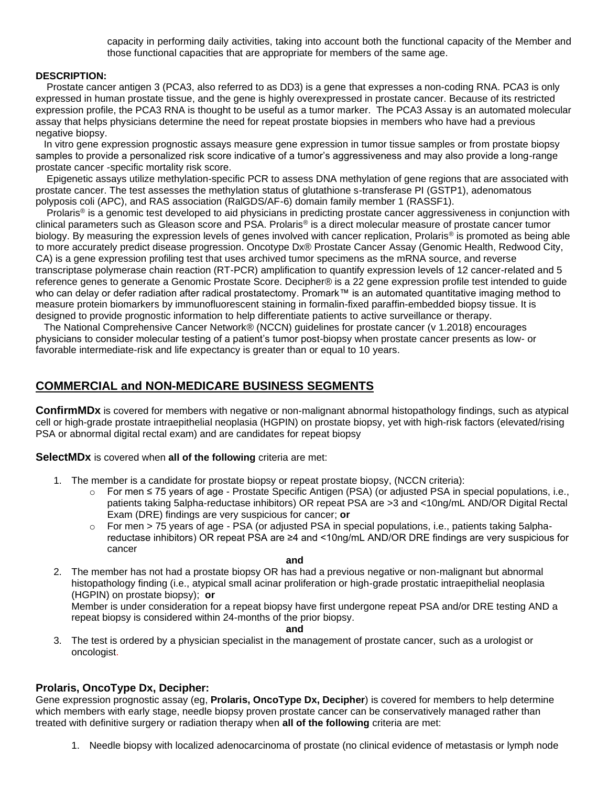capacity in performing daily activities, taking into account both the functional capacity of the Member and those functional capacities that are appropriate for members of the same age.

#### **DESCRIPTION:**

 Prostate cancer antigen 3 (PCA3, also referred to as DD3) is a gene that expresses a non-coding RNA. PCA3 is only expressed in human prostate tissue, and the gene is highly overexpressed in prostate cancer. Because of its restricted expression profile, the PCA3 RNA is thought to be useful as a tumor marker. The PCA3 Assay is an automated molecular assay that helps physicians determine the need for repeat prostate biopsies in members who have had a previous negative biopsy.

 In vitro gene expression prognostic assays measure gene expression in tumor tissue samples or from prostate biopsy samples to provide a personalized risk score indicative of a tumor's aggressiveness and may also provide a long-range prostate cancer -specific mortality risk score.

 Epigenetic assays utilize methylation-specific PCR to assess DNA methylation of gene regions that are associated with prostate cancer. The test assesses the methylation status of glutathione s-transferase PI (GSTP1), adenomatous polyposis coli (APC), and RAS association (RalGDS/AF-6) domain family member 1 (RASSF1).

 Prolaris® is a genomic test developed to aid physicians in predicting prostate cancer aggressiveness in conjunction with clinical parameters such as Gleason score and PSA. Prolaris® is a direct molecular measure of prostate cancer tumor biology. By measuring the expression levels of genes involved with cancer replication, Prolaris<sup>®</sup> is promoted as being able to more accurately predict disease progression. Oncotype Dx® Prostate Cancer Assay (Genomic Health, Redwood City, CA) is a gene expression profiling test that uses archived tumor specimens as the mRNA source, and reverse transcriptase polymerase chain reaction (RT-PCR) amplification to quantify expression levels of 12 cancer-related and 5 reference genes to generate a Genomic Prostate Score. Decipher® is a 22 gene expression profile test intended to guide who can delay or defer radiation after radical prostatectomy. Promark™ is an automated quantitative imaging method to measure protein biomarkers by immunofluorescent staining in formalin-fixed paraffin-embedded biopsy tissue. It is designed to provide prognostic information to help differentiate patients to active surveillance or therapy.

 The National Comprehensive Cancer Network® (NCCN) guidelines for prostate cancer (v 1.2018) encourages physicians to consider molecular testing of a patient's tumor post-biopsy when prostate cancer presents as low- or favorable intermediate-risk and life expectancy is greater than or equal to 10 years.

# **COMMERCIAL and NON-MEDICARE BUSINESS SEGMENTS**

**ConfirmMDx** is covered for members with negative or non-malignant abnormal histopathology findings, such as atypical cell or high-grade prostate intraepithelial neoplasia (HGPIN) on prostate biopsy, yet with high-risk factors (elevated/rising PSA or abnormal digital rectal exam) and are candidates for repeat biopsy

**SelectMDx** is covered when **all of the following** criteria are met:

- 1. The member is a candidate for prostate biopsy or repeat prostate biopsy, (NCCN criteria):
	- o For men ≤ 75 years of age Prostate Specific Antigen (PSA) (or adjusted PSA in special populations, i.e., patients taking 5alpha-reductase inhibitors) OR repeat PSA are >3 and <10ng/mL AND/OR Digital Rectal Exam (DRE) findings are very suspicious for cancer; **or**
	- For men > 75 years of age PSA (or adjusted PSA in special populations, i.e., patients taking 5alphareductase inhibitors) OR repeat PSA are ≥4 and <10ng/mL AND/OR DRE findings are very suspicious for cancer

**and**

2. The member has not had a prostate biopsy OR has had a previous negative or non-malignant but abnormal histopathology finding (i.e., atypical small acinar proliferation or high-grade prostatic intraepithelial neoplasia (HGPIN) on prostate biopsy); **or**

Member is under consideration for a repeat biopsy have first undergone repeat PSA and/or DRE testing AND a repeat biopsy is considered within 24-months of the prior biopsy.

**and**

3. The test is ordered by a physician specialist in the management of prostate cancer, such as a urologist or oncologist.

# **Prolaris, OncoType Dx, Decipher:**

Gene expression prognostic assay (eg, **Prolaris, OncoType Dx, Decipher**) is covered for members to help determine which members with early stage, needle biopsy proven prostate cancer can be conservatively managed rather than treated with definitive surgery or radiation therapy when **all of the following** criteria are met:

1. Needle biopsy with localized adenocarcinoma of prostate (no clinical evidence of metastasis or lymph node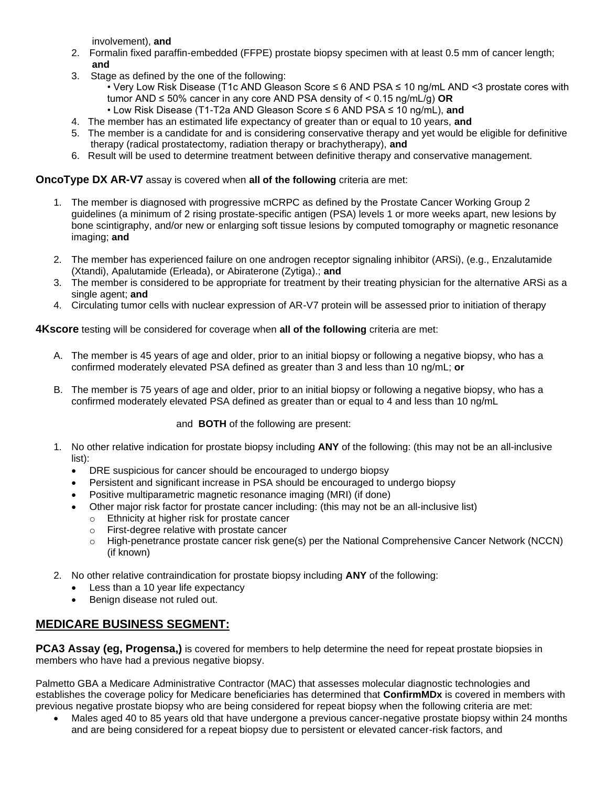involvement), **and**

- 2. Formalin fixed paraffin-embedded (FFPE) prostate biopsy specimen with at least 0.5 mm of cancer length; **and**
- 3. Stage as defined by the one of the following:
	- Very Low Risk Disease (T1c AND Gleason Score ≤ 6 AND PSA ≤ 10 ng/mL AND <3 prostate cores with tumor AND ≤ 50% cancer in any core AND PSA density of < 0.15 ng/mL/g) **OR**
	- Low Risk Disease (T1-T2a AND Gleason Score ≤ 6 AND PSA ≤ 10 ng/mL), **and**
- 4. The member has an estimated life expectancy of greater than or equal to 10 years, **and**
- 5. The member is a candidate for and is considering conservative therapy and yet would be eligible for definitive therapy (radical prostatectomy, radiation therapy or brachytherapy), **and**
- 6. Result will be used to determine treatment between definitive therapy and conservative management.

# **OncoType DX AR-V7** assay is covered when **all of the following** criteria are met:

- 1. The member is diagnosed with progressive mCRPC as defined by the Prostate Cancer Working Group 2 guidelines (a minimum of 2 rising prostate-specific antigen (PSA) levels 1 or more weeks apart, new lesions by bone scintigraphy, and/or new or enlarging soft tissue lesions by computed tomography or magnetic resonance imaging; **and**
- 2. The member has experienced failure on one androgen receptor signaling inhibitor (ARSi), (e.g., Enzalutamide (Xtandi), Apalutamide (Erleada), or Abiraterone (Zytiga).; **and**
- 3. The member is considered to be appropriate for treatment by their treating physician for the alternative ARSi as a single agent; **and**
- 4. Circulating tumor cells with nuclear expression of AR-V7 protein will be assessed prior to initiation of therapy

# **4Kscore** testing will be considered for coverage when **all of the following** criteria are met:

- A. The member is 45 years of age and older, prior to an initial biopsy or following a negative biopsy, who has a confirmed moderately elevated PSA defined as greater than 3 and less than 10 ng/mL; **or**
- B. The member is 75 years of age and older, prior to an initial biopsy or following a negative biopsy, who has a confirmed moderately elevated PSA defined as greater than or equal to 4 and less than 10 ng/mL

# and **BOTH** of the following are present:

- 1. No other relative indication for prostate biopsy including **ANY** of the following: (this may not be an all-inclusive list):
	- DRE suspicious for cancer should be encouraged to undergo biopsy
	- Persistent and significant increase in PSA should be encouraged to undergo biopsy
	- Positive multiparametric magnetic resonance imaging (MRI) (if done)
		- Other major risk factor for prostate cancer including: (this may not be an all-inclusive list)
			- o Ethnicity at higher risk for prostate cancer
			- o First-degree relative with prostate cancer
			- o High-penetrance prostate cancer risk gene(s) per the National Comprehensive Cancer Network (NCCN) (if known)
- 2. No other relative contraindication for prostate biopsy including **ANY** of the following:
	- Less than a 10 year life expectancy
	- Benign disease not ruled out.

# **MEDICARE BUSINESS SEGMENT:**

**PCA3 Assay (eg, Progensa,)** is covered for members to help determine the need for repeat prostate biopsies in members who have had a previous negative biopsy.

Palmetto GBA a Medicare Administrative Contractor (MAC) that assesses molecular diagnostic technologies and establishes the coverage policy for Medicare beneficiaries has determined that **ConfirmMDx** is covered in members with previous negative prostate biopsy who are being considered for repeat biopsy when the following criteria are met:

• Males aged 40 to 85 years old that have undergone a previous cancer-negative prostate biopsy within 24 months and are being considered for a repeat biopsy due to persistent or elevated cancer-risk factors, and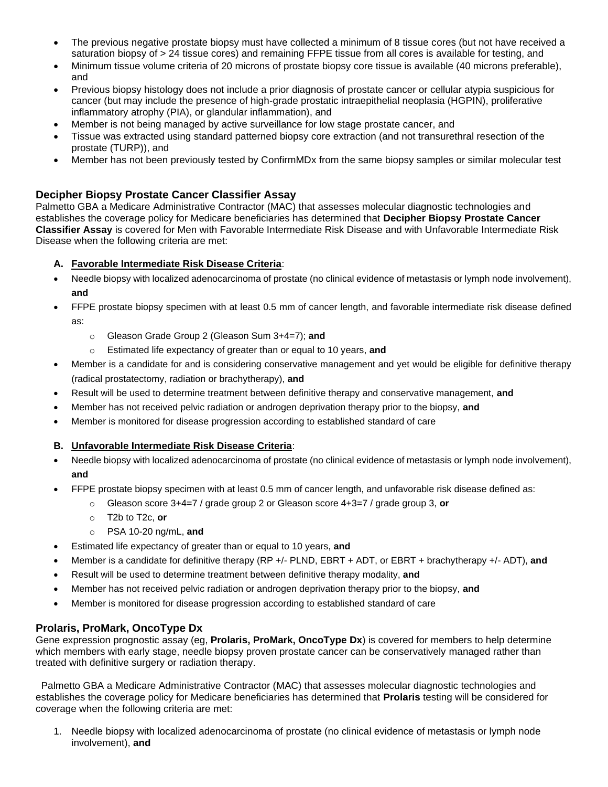- The previous negative prostate biopsy must have collected a minimum of 8 tissue cores (but not have received a saturation biopsy of > 24 tissue cores) and remaining FFPE tissue from all cores is available for testing, and
- Minimum tissue volume criteria of 20 microns of prostate biopsy core tissue is available (40 microns preferable), and
- Previous biopsy histology does not include a prior diagnosis of prostate cancer or cellular atypia suspicious for cancer (but may include the presence of high-grade prostatic intraepithelial neoplasia (HGPIN), proliferative inflammatory atrophy (PIA), or glandular inflammation), and
- Member is not being managed by active surveillance for low stage prostate cancer, and
- Tissue was extracted using standard patterned biopsy core extraction (and not transurethral resection of the prostate (TURP)), and
- Member has not been previously tested by ConfirmMDx from the same biopsy samples or similar molecular test

# **Decipher Biopsy Prostate Cancer Classifier Assay**

Palmetto GBA a Medicare Administrative Contractor (MAC) that assesses molecular diagnostic technologies and establishes the coverage policy for Medicare beneficiaries has determined that **Decipher Biopsy Prostate Cancer Classifier Assay** is covered for Men with Favorable Intermediate Risk Disease and with Unfavorable Intermediate Risk Disease when the following criteria are met:

#### **A. Favorable Intermediate Risk Disease Criteria**:

- Needle biopsy with localized adenocarcinoma of prostate (no clinical evidence of metastasis or lymph node involvement), **and**
- FFPE prostate biopsy specimen with at least 0.5 mm of cancer length, and favorable intermediate risk disease defined as:
	- o Gleason Grade Group 2 (Gleason Sum 3+4=7); **and**
	- o Estimated life expectancy of greater than or equal to 10 years, **and**
- Member is a candidate for and is considering conservative management and yet would be eligible for definitive therapy (radical prostatectomy, radiation or brachytherapy), **and**
- Result will be used to determine treatment between definitive therapy and conservative management, **and**
- Member has not received pelvic radiation or androgen deprivation therapy prior to the biopsy, **and**
- Member is monitored for disease progression according to established standard of care

# **B. Unfavorable Intermediate Risk Disease Criteria**:

- Needle biopsy with localized adenocarcinoma of prostate (no clinical evidence of metastasis or lymph node involvement), **and**
	- FFPE prostate biopsy specimen with at least 0.5 mm of cancer length, and unfavorable risk disease defined as:
		- o Gleason score 3+4=7 / grade group 2 or Gleason score 4+3=7 / grade group 3, **or**
		- o T2b to T2c, **or**
		- o PSA 10-20 ng/mL, **and**
- Estimated life expectancy of greater than or equal to 10 years, **and**
- Member is a candidate for definitive therapy (RP +/- PLND, EBRT + ADT, or EBRT + brachytherapy +/- ADT), **and**
- Result will be used to determine treatment between definitive therapy modality, **and**
- Member has not received pelvic radiation or androgen deprivation therapy prior to the biopsy, **and**
- Member is monitored for disease progression according to established standard of care

# **Prolaris, ProMark, OncoType Dx**

Gene expression prognostic assay (eg, **Prolaris, ProMark, OncoType Dx**) is covered for members to help determine which members with early stage, needle biopsy proven prostate cancer can be conservatively managed rather than treated with definitive surgery or radiation therapy.

Palmetto GBA a Medicare Administrative Contractor (MAC) that assesses molecular diagnostic technologies and establishes the coverage policy for Medicare beneficiaries has determined that **Prolaris** testing will be considered for coverage when the following criteria are met:

1. Needle biopsy with localized adenocarcinoma of prostate (no clinical evidence of metastasis or lymph node involvement), **and**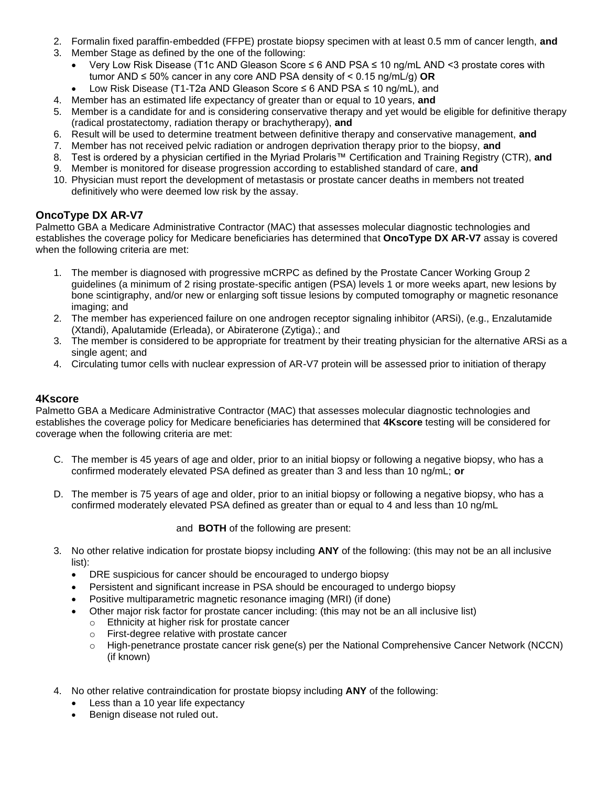- 2. Formalin fixed paraffin-embedded (FFPE) prostate biopsy specimen with at least 0.5 mm of cancer length, **and**
- 3. Member Stage as defined by the one of the following:
	- Very Low Risk Disease (T1c AND Gleason Score ≤ 6 AND PSA ≤ 10 ng/mL AND <3 prostate cores with tumor AND ≤ 50% cancer in any core AND PSA density of < 0.15 ng/mL/g) **OR**
	- Low Risk Disease (T1-T2a AND Gleason Score ≤ 6 AND PSA ≤ 10 ng/mL), and
- 4. Member has an estimated life expectancy of greater than or equal to 10 years, **and**
- 5. Member is a candidate for and is considering conservative therapy and yet would be eligible for definitive therapy (radical prostatectomy, radiation therapy or brachytherapy), **and**
- 6. Result will be used to determine treatment between definitive therapy and conservative management, **and**
- 7. Member has not received pelvic radiation or androgen deprivation therapy prior to the biopsy, **and**
- 8. Test is ordered by a physician certified in the Myriad Prolaris™ Certification and Training Registry (CTR), **and**
- 9. Member is monitored for disease progression according to established standard of care, **and**
- 10. Physician must report the development of metastasis or prostate cancer deaths in members not treated definitively who were deemed low risk by the assay.

# **OncoType DX AR-V7**

Palmetto GBA a Medicare Administrative Contractor (MAC) that assesses molecular diagnostic technologies and establishes the coverage policy for Medicare beneficiaries has determined that **OncoType DX AR-V7** assay is covered when the following criteria are met:

- 1. The member is diagnosed with progressive mCRPC as defined by the Prostate Cancer Working Group 2 guidelines (a minimum of 2 rising prostate-specific antigen (PSA) levels 1 or more weeks apart, new lesions by bone scintigraphy, and/or new or enlarging soft tissue lesions by computed tomography or magnetic resonance imaging; and
- 2. The member has experienced failure on one androgen receptor signaling inhibitor (ARSi), (e.g., Enzalutamide (Xtandi), Apalutamide (Erleada), or Abiraterone (Zytiga).; and
- 3. The member is considered to be appropriate for treatment by their treating physician for the alternative ARSi as a single agent; and
- 4. Circulating tumor cells with nuclear expression of AR-V7 protein will be assessed prior to initiation of therapy

# **4Kscore**

Palmetto GBA a Medicare Administrative Contractor (MAC) that assesses molecular diagnostic technologies and establishes the coverage policy for Medicare beneficiaries has determined that **4Kscore** testing will be considered for coverage when the following criteria are met:

- C. The member is 45 years of age and older, prior to an initial biopsy or following a negative biopsy, who has a confirmed moderately elevated PSA defined as greater than 3 and less than 10 ng/mL; **or**
- D. The member is 75 years of age and older, prior to an initial biopsy or following a negative biopsy, who has a confirmed moderately elevated PSA defined as greater than or equal to 4 and less than 10 ng/mL

# and **BOTH** of the following are present:

- 3. No other relative indication for prostate biopsy including **ANY** of the following: (this may not be an all inclusive list):
	- DRE suspicious for cancer should be encouraged to undergo biopsy
	- Persistent and significant increase in PSA should be encouraged to undergo biopsy
	- Positive multiparametric magnetic resonance imaging (MRI) (if done)
	- Other major risk factor for prostate cancer including: (this may not be an all inclusive list)
		- o Ethnicity at higher risk for prostate cancer
		- o First-degree relative with prostate cancer
		- o High-penetrance prostate cancer risk gene(s) per the National Comprehensive Cancer Network (NCCN) (if known)
- 4. No other relative contraindication for prostate biopsy including **ANY** of the following:
	- Less than a 10 year life expectancy
	- Benign disease not ruled out.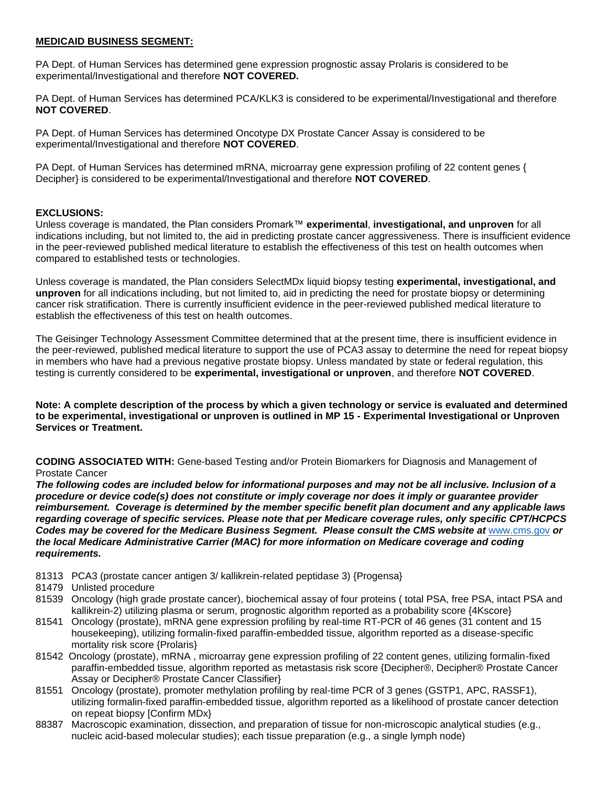### **MEDICAID BUSINESS SEGMENT:**

PA Dept. of Human Services has determined gene expression prognostic assay Prolaris is considered to be experimental/Investigational and therefore **NOT COVERED.**

PA Dept. of Human Services has determined PCA/KLK3 is considered to be experimental/Investigational and therefore **NOT COVERED**.

PA Dept. of Human Services has determined Oncotype DX Prostate Cancer Assay is considered to be experimental/Investigational and therefore **NOT COVERED**.

PA Dept. of Human Services has determined mRNA, microarray gene expression profiling of 22 content genes { Decipher} is considered to be experimental/Investigational and therefore **NOT COVERED**.

#### **EXCLUSIONS:**

Unless coverage is mandated, the Plan considers Promark™ **experimental**, **investigational, and unproven** for all indications including, but not limited to, the aid in predicting prostate cancer aggressiveness. There is insufficient evidence in the peer-reviewed published medical literature to establish the effectiveness of this test on health outcomes when compared to established tests or technologies.

Unless coverage is mandated, the Plan considers SelectMDx liquid biopsy testing **experimental, investigational, and unproven** for all indications including, but not limited to, aid in predicting the need for prostate biopsy or determining cancer risk stratification. There is currently insufficient evidence in the peer-reviewed published medical literature to establish the effectiveness of this test on health outcomes.

The Geisinger Technology Assessment Committee determined that at the present time, there is insufficient evidence in the peer-reviewed, published medical literature to support the use of PCA3 assay to determine the need for repeat biopsy in members who have had a previous negative prostate biopsy. Unless mandated by state or federal regulation, this testing is currently considered to be **experimental, investigational or unproven**, and therefore **NOT COVERED**.

**Note: A complete description of the process by which a given technology or service is evaluated and determined to be experimental, investigational or unproven is outlined in MP 15 - Experimental Investigational or Unproven Services or Treatment.**

**CODING ASSOCIATED WITH:** Gene-based Testing and/or Protein Biomarkers for Diagnosis and Management of Prostate Cancer

*The following codes are included below for informational purposes and may not be all inclusive. Inclusion of a procedure or device code(s) does not constitute or imply coverage nor does it imply or guarantee provider reimbursement. Coverage is determined by the member specific benefit plan document and any applicable laws regarding coverage of specific services. Please note that per Medicare coverage rules, only specific CPT/HCPCS Codes may be covered for the Medicare Business Segment. Please consult the CMS website at* [www.cms.gov](http://www.cms.gov/) *or the local Medicare Administrative Carrier (MAC) for more information on Medicare coverage and coding requirements.*

- 81313 PCA3 (prostate cancer antigen 3/ kallikrein-related peptidase 3) {Progensa}
- 81479 Unlisted procedure
- 81539 Oncology (high grade prostate cancer), biochemical assay of four proteins ( total PSA, free PSA, intact PSA and kallikrein-2) utilizing plasma or serum, prognostic algorithm reported as a probability score {4Kscore}
- 81541 Oncology (prostate), mRNA gene expression profiling by real-time RT-PCR of 46 genes (31 content and 15 housekeeping), utilizing formalin-fixed paraffin-embedded tissue, algorithm reported as a disease-specific mortality risk score {Prolaris}
- 81542 Oncology (prostate), mRNA , microarray gene expression profiling of 22 content genes, utilizing formalin-fixed paraffin-embedded tissue, algorithm reported as metastasis risk score {Decipher®, Decipher® Prostate Cancer Assay or Decipher® Prostate Cancer Classifier}
- 81551 Oncology (prostate), promoter methylation profiling by real-time PCR of 3 genes (GSTP1, APC, RASSF1), utilizing formalin-fixed paraffin-embedded tissue, algorithm reported as a likelihood of prostate cancer detection on repeat biopsy [Confirm MDx}
- 88387 Macroscopic examination, dissection, and preparation of tissue for non-microscopic analytical studies (e.g., nucleic acid-based molecular studies); each tissue preparation (e.g., a single lymph node)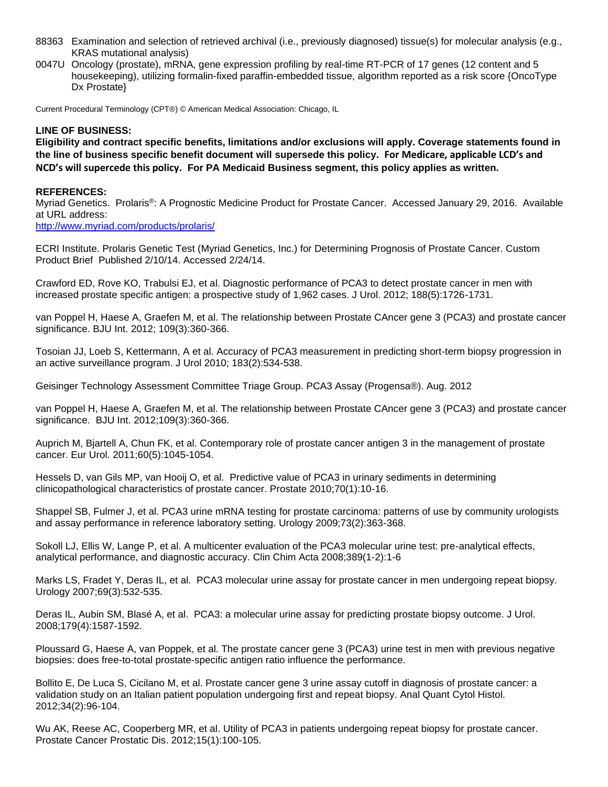- 88363 Examination and selection of retrieved archival (i.e., previously diagnosed) tissue(s) for molecular analysis (e.g., KRAS mutational analysis)
- 0047U Oncology (prostate), mRNA, gene expression profiling by real-time RT-PCR of 17 genes (12 content and 5 housekeeping), utilizing formalin-fixed paraffin-embedded tissue, algorithm reported as a risk score {OncoType Dx Prostate}

Current Procedural Terminology (CPT®) © American Medical Association: Chicago, IL

#### **LINE OF BUSINESS:**

**Eligibility and contract specific benefits, limitations and/or exclusions will apply. Coverage statements found in the line of business specific benefit document will supersede this policy. For Medicare, applicable LCD's and NCD's will supercede this policy. For PA Medicaid Business segment, this policy applies as written.**

#### **REFERENCES:**

Myriad Genetics. Prolaris®: A Prognostic Medicine Product for Prostate Cancer. Accessed January 29, 2016. Available at URL address:

<http://www.myriad.com/products/prolaris/>

ECRI Institute. Prolaris Genetic Test (Myriad Genetics, Inc.) for Determining Prognosis of Prostate Cancer. Custom Product Brief Published 2/10/14. Accessed 2/24/14.

Crawford ED, Rove KO, Trabulsi EJ, et al. Diagnostic performance of PCA3 to detect prostate cancer in men with increased prostate specific antigen: a prospective study of 1,962 cases. J Urol. 2012; 188(5):1726-1731.

van Poppel H, Haese A, Graefen M, et al. The relationship between Prostate CAncer gene 3 (PCA3) and prostate cancer significance. BJU Int. 2012; 109(3):360-366.

Tosoian JJ, Loeb S, Kettermann, A et al. Accuracy of PCA3 measurement in predicting short-term biopsy progression in an active surveillance program. J Urol 2010; 183(2):534-538.

Geisinger Technology Assessment Committee Triage Group. PCA3 Assay (Progensa®). Aug. 2012

van Poppel H, Haese A, Graefen M, et al. The relationship between Prostate CAncer gene 3 (PCA3) and prostate cancer significance. BJU Int. 2012;109(3):360-366.

Auprich M, Bjartell A, Chun FK, et al. Contemporary role of prostate cancer antigen 3 in the management of prostate cancer. Eur Urol. 2011;60(5):1045-1054.

Hessels D, van Gils MP, van Hooij O, et al. Predictive value of PCA3 in urinary sediments in determining clinicopathological characteristics of prostate cancer. Prostate 2010;70(1):10-16.

Shappel SB, Fulmer J, et al. PCA3 urine mRNA testing for prostate carcinoma: patterns of use by community urologists and assay performance in reference laboratory setting. Urology 2009;73(2):363-368.

Sokoll LJ, Ellis W, Lange P, et al. A multicenter evaluation of the PCA3 molecular urine test: pre-analytical effects, analytical performance, and diagnostic accuracy. Clin Chim Acta 2008;389(1-2):1-6

Marks LS, Fradet Y, Deras IL, et al. PCA3 molecular urine assay for prostate cancer in men undergoing repeat biopsy. Urology 2007;69(3):532-535.

Deras IL, Aubin SM, Blasé A, et al. PCA3: a molecular urine assay for predicting prostate biopsy outcome. J Urol. 2008;179(4):1587-1592.

Ploussard G, Haese A, van Poppek, et al. The prostate cancer gene 3 (PCA3) urine test in men with previous negative biopsies: does free-to-total prostate-specific antigen ratio influence the performance.

Bollito E, De Luca S, Cicilano M, et al. Prostate cancer gene 3 urine assay cutoff in diagnosis of prostate cancer: a validation study on an Italian patient population undergoing first and repeat biopsy. Anal Quant Cytol Histol. 2012;34(2):96-104.

Wu AK, Reese AC, Cooperberg MR, et al. Utility of PCA3 in patients undergoing repeat biopsy for prostate cancer. Prostate Cancer Prostatic Dis. 2012;15(1):100-105.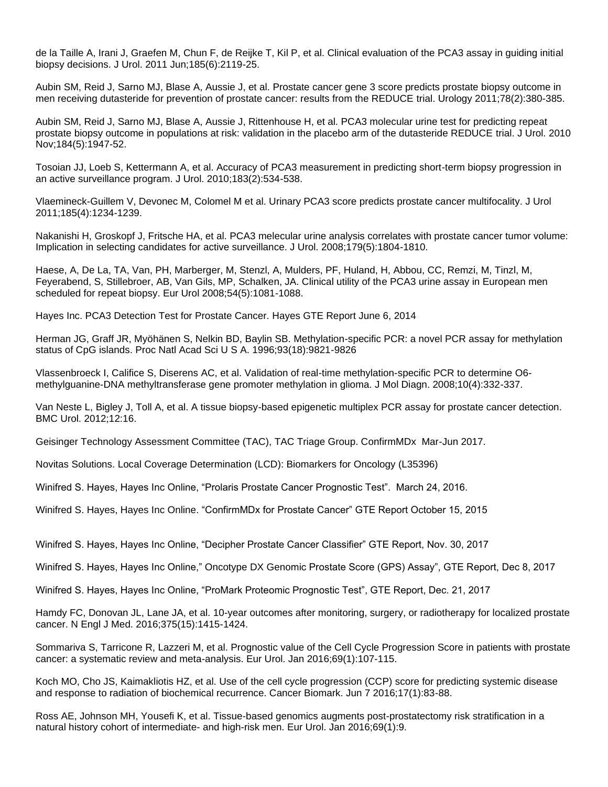de la Taille A, Irani J, Graefen M, Chun F, de Reijke T, Kil P, et al. Clinical evaluation of the PCA3 assay in guiding initial biopsy decisions. J Urol. 2011 Jun;185(6):2119-25.

Aubin SM, Reid J, Sarno MJ, Blase A, Aussie J, et al. Prostate cancer gene 3 score predicts prostate biopsy outcome in men receiving dutasteride for prevention of prostate cancer: results from the REDUCE trial. Urology 2011;78(2):380-385.

Aubin SM, Reid J, Sarno MJ, Blase A, Aussie J, Rittenhouse H, et al. PCA3 molecular urine test for predicting repeat prostate biopsy outcome in populations at risk: validation in the placebo arm of the dutasteride REDUCE trial. J Urol. 2010 Nov;184(5):1947-52.

Tosoian JJ, Loeb S, Kettermann A, et al. Accuracy of PCA3 measurement in predicting short-term biopsy progression in an active surveillance program. J Urol. 2010;183(2):534-538.

Vlaemineck-Guillem V, Devonec M, Colomel M et al. Urinary PCA3 score predicts prostate cancer multifocality. J Urol 2011;185(4):1234-1239.

Nakanishi H, Groskopf J, Fritsche HA, et al. PCA3 melecular urine analysis correlates with prostate cancer tumor volume: Implication in selecting candidates for active surveillance. J Urol. 2008;179(5):1804-1810.

Haese, A, De La, TA, Van, PH, Marberger, M, Stenzl, A, Mulders, PF, Huland, H, Abbou, CC, Remzi, M, Tinzl, M, Feyerabend, S, Stillebroer, AB, Van Gils, MP, Schalken, JA. Clinical utility of the PCA3 urine assay in European men scheduled for repeat biopsy. Eur Urol 2008;54(5):1081-1088.

Hayes Inc. PCA3 Detection Test for Prostate Cancer. Hayes GTE Report June 6, 2014

Herman JG, Graff JR, Myöhänen S, Nelkin BD, Baylin SB. Methylation-specific PCR: a novel PCR assay for methylation status of CpG islands. Proc Natl Acad Sci U S A. 1996;93(18):9821-9826

Vlassenbroeck I, Califice S, Diserens AC, et al. Validation of real-time methylation-specific PCR to determine O6 methylguanine-DNA methyltransferase gene promoter methylation in glioma. J Mol Diagn. 2008;10(4):332-337.

Van Neste L, Bigley J, Toll A, et al. A tissue biopsy-based epigenetic multiplex PCR assay for prostate cancer detection. BMC Urol. 2012;12:16.

Geisinger Technology Assessment Committee (TAC), TAC Triage Group. ConfirmMDx Mar-Jun 2017.

Novitas Solutions. Local Coverage Determination (LCD): Biomarkers for Oncology (L35396)

Winifred S. Hayes, Hayes Inc Online, "Prolaris Prostate Cancer Prognostic Test". March 24, 2016.

Winifred S. Hayes, Hayes Inc Online. "ConfirmMDx for Prostate Cancer" GTE Report October 15, 2015

Winifred S. Hayes, Hayes Inc Online, "Decipher Prostate Cancer Classifier" GTE Report, Nov. 30, 2017

Winifred S. Hayes, Hayes Inc Online," Oncotype DX Genomic Prostate Score (GPS) Assay", GTE Report, Dec 8, 2017

Winifred S. Hayes, Hayes Inc Online, "ProMark Proteomic Prognostic Test", GTE Report, Dec. 21, 2017

Hamdy FC, Donovan JL, Lane JA, et al. 10-year outcomes after monitoring, surgery, or radiotherapy for localized prostate cancer. N Engl J Med. 2016;375(15):1415-1424.

Sommariva S, Tarricone R, Lazzeri M, et al. Prognostic value of the Cell Cycle Progression Score in patients with prostate cancer: a systematic review and meta-analysis. Eur Urol. Jan 2016;69(1):107-115.

Koch MO, Cho JS, Kaimakliotis HZ, et al. Use of the cell cycle progression (CCP) score for predicting systemic disease and response to radiation of biochemical recurrence. Cancer Biomark. Jun 7 2016;17(1):83-88.

Ross AE, Johnson MH, Yousefi K, et al. Tissue-based genomics augments post-prostatectomy risk stratification in a natural history cohort of intermediate- and high-risk men. Eur Urol. Jan 2016;69(1):9.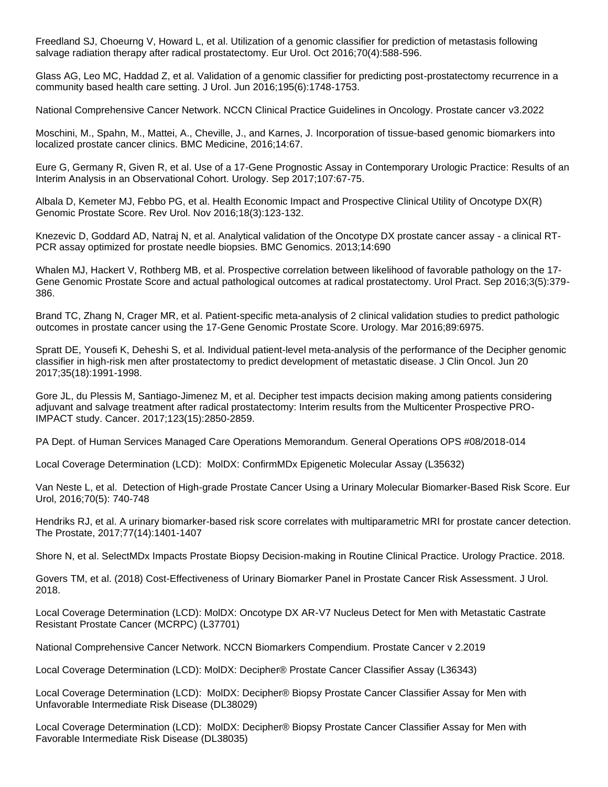Freedland SJ, Choeurng V, Howard L, et al. Utilization of a genomic classifier for prediction of metastasis following salvage radiation therapy after radical prostatectomy. Eur Urol. Oct 2016;70(4):588-596.

Glass AG, Leo MC, Haddad Z, et al. Validation of a genomic classifier for predicting post-prostatectomy recurrence in a community based health care setting. J Urol. Jun 2016;195(6):1748-1753.

National Comprehensive Cancer Network. NCCN Clinical Practice Guidelines in Oncology. Prostate cancer v3.2022

Moschini, M., Spahn, M., Mattei, A., Cheville, J., and Karnes, J. Incorporation of tissue-based genomic biomarkers into localized prostate cancer clinics. BMC Medicine, 2016;14:67.

Eure G, Germany R, Given R, et al. Use of a 17-Gene Prognostic Assay in Contemporary Urologic Practice: Results of an Interim Analysis in an Observational Cohort. Urology. Sep 2017;107:67-75.

Albala D, Kemeter MJ, Febbo PG, et al. Health Economic Impact and Prospective Clinical Utility of Oncotype DX(R) Genomic Prostate Score. Rev Urol. Nov 2016;18(3):123-132.

Knezevic D, Goddard AD, Natraj N, et al. Analytical validation of the Oncotype DX prostate cancer assay - a clinical RT-PCR assay optimized for prostate needle biopsies. BMC Genomics. 2013;14:690

Whalen MJ, Hackert V, Rothberg MB, et al. Prospective correlation between likelihood of favorable pathology on the 17-Gene Genomic Prostate Score and actual pathological outcomes at radical prostatectomy. Urol Pract. Sep 2016;3(5):379- 386.

Brand TC, Zhang N, Crager MR, et al. Patient-specific meta-analysis of 2 clinical validation studies to predict pathologic outcomes in prostate cancer using the 17-Gene Genomic Prostate Score. Urology. Mar 2016;89:6975.

Spratt DE, Yousefi K, Deheshi S, et al. Individual patient-level meta-analysis of the performance of the Decipher genomic classifier in high-risk men after prostatectomy to predict development of metastatic disease. J Clin Oncol. Jun 20 2017;35(18):1991-1998.

Gore JL, du Plessis M, Santiago-Jimenez M, et al. Decipher test impacts decision making among patients considering adjuvant and salvage treatment after radical prostatectomy: Interim results from the Multicenter Prospective PRO-IMPACT study. Cancer. 2017;123(15):2850-2859.

PA Dept. of Human Services Managed Care Operations Memorandum. General Operations OPS #08/2018-014

Local Coverage Determination (LCD): MolDX: ConfirmMDx Epigenetic Molecular Assay (L35632)

Van Neste L, et al. Detection of High-grade Prostate Cancer Using a Urinary Molecular Biomarker-Based Risk Score. Eur Urol, 2016;70(5): 740-748

Hendriks RJ, et al. A urinary biomarker-based risk score correlates with multiparametric MRI for prostate cancer detection. The Prostate, 2017;77(14):1401-1407

Shore N, et al. SelectMDx Impacts Prostate Biopsy Decision-making in Routine Clinical Practice. Urology Practice. 2018.

Govers TM, et al. (2018) Cost-Effectiveness of Urinary Biomarker Panel in Prostate Cancer Risk Assessment. J Urol. 2018.

Local Coverage Determination (LCD): MolDX: Oncotype DX AR-V7 Nucleus Detect for Men with Metastatic Castrate Resistant Prostate Cancer (MCRPC) (L37701)

National Comprehensive Cancer Network. NCCN Biomarkers Compendium. Prostate Cancer v 2.2019

Local Coverage Determination (LCD): MolDX: Decipher® Prostate Cancer Classifier Assay (L36343)

Local Coverage Determination (LCD): MolDX: Decipher® Biopsy Prostate Cancer Classifier Assay for Men with Unfavorable Intermediate Risk Disease (DL38029)

Local Coverage Determination (LCD): MolDX: Decipher® Biopsy Prostate Cancer Classifier Assay for Men with Favorable Intermediate Risk Disease (DL38035)